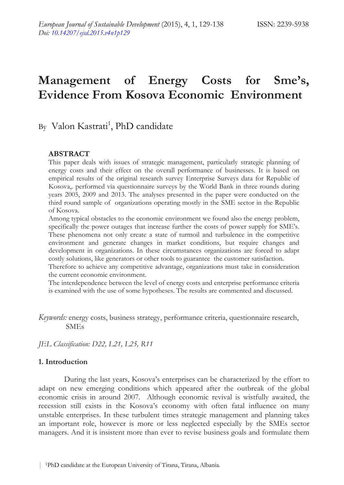# **Management of Energy Costs for Sme's, Evidence From Kosova Economic Environment**

# By Valon Kastrati<sup>1</sup>, PhD candidate

### **ABSTRACT**

This paper deals with issues of strategic management, particularly strategic planning of energy costs and their effect on the overall performance of businesses. It is based on empirical results of the original research survey Enterprise Surveys data for Republic of Kosova,. performed via questionnaire surveys by the World Bank in three rounds during years 2005, 2009 and 2013. The analyses presented in the paper were conducted on the third round sample of organizations operating mostly in the SME sector in the Republic of Kosova.

Among typical obstacles to the economic environment we found also the energy problem, specifically the power outages that increase further the costs of power supply for SME's. These phenomena not only create a state of turmoil and turbulence in the competitive environment and generate changes in market conditions, but require changes and development in organizations. In these circumstances organizations are forced to adapt costly solutions, like generators or other tools to guarantee the customer satisfaction.

Therefore to achieve any competitive advantage, organizations must take in consideration the current economic environment.

The interdependence between the level of energy costs and enterprise performance criteria is examined with the use of some hypotheses. The results are commented and discussed.

*Keywords:* energy costs, business strategy, performance criteria, questionnaire research, SMEs

*JEL Classification: D22, L21, L25, R11* 

#### **1. Introduction**

During the last years, Kosova's enterprises can be characterized by the effort to adapt on new emerging conditions which appeared after the outbreak of the global economic crisis in around 2007. Although economic revival is wistfully awaited, the recession still exists in the Kosova's economy with often fatal influence on many unstable enterprises. In these turbulent times strategic management and planning takes an important role, however is more or less neglected especially by the SMEs sector managers. And it is insistent more than ever to revise business goals and formulate them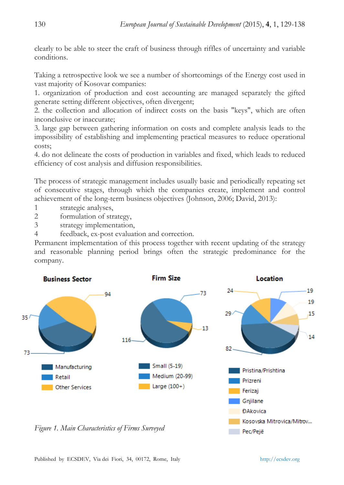clearly to be able to steer the craft of business through riffles of uncertainty and variable conditions.

Taking a retrospective look we see a number of shortcomings of the Energy cost used in vast majority of Kosovar companies:

1. organization of production and cost accounting are managed separately the gifted generate setting different objectives, often divergent;

2. the collection and allocation of indirect costs on the basis "keys", which are often inconclusive or inaccurate;

3. large gap between gathering information on costs and complete analysis leads to the impossibility of establishing and implementing practical measures to reduce operational costs;

4. do not delineate the costs of production in variables and fixed, which leads to reduced efficiency of cost analysis and diffusion responsibilities.

The process of strategic management includes usually basic and periodically repeating set of consecutive stages, through which the companies create, implement and control achievement of the long-term business objectives (Johnson, 2006; David, 2013):

1 strategic analyses,

2 formulation of strategy,

3 strategy implementation,

4 feedback, ex-post evaluation and correction.

Permanent implementation of this process together with recent updating of the strategy and reasonable planning period brings often the strategic predominance for the company.

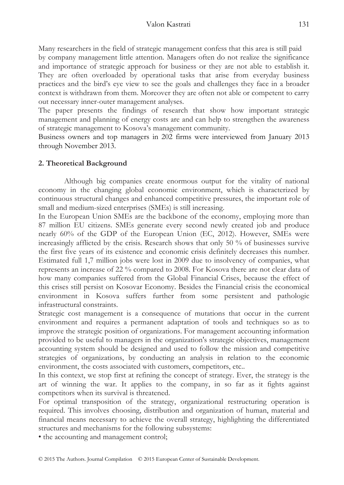Many researchers in the field of strategic management confess that this area is still paid by company management little attention. Managers often do not realize the significance and importance of strategic approach for business or they are not able to establish it. They are often overloaded by operational tasks that arise from everyday business practices and the bird's eye view to see the goals and challenges they face in a broader context is withdrawn from them. Moreover they are often not able or competent to carry out necessary inner-outer management analyses.

The paper presents the findings of research that show how important strategic management and planning of energy costs are and can help to strengthen the awareness of strategic management to Kosova's management community.

Business owners and top managers in 202 firms were interviewed from January 2013 through November 2013.

## **2. Theoretical Background**

Although big companies create enormous output for the vitality of national economy in the changing global economic environment, which is characterized by continuous structural changes and enhanced competitive pressures, the important role of small and medium-sized enterprises (SMEs) is still increasing.

In the European Union SMEs are the backbone of the economy, employing more than 87 million EU citizens. SMEs generate every second newly created job and produce nearly 60% of the GDP of the European Union (EC, 2012). However, SMEs were increasingly afflicted by the crisis. Research shows that only 50 % of businesses survive the first five years of its existence and economic crisis definitely decreases this number. Estimated full 1,7 million jobs were lost in 2009 due to insolvency of companies, what represents an increase of 22 % compared to 2008. For Kosova there are not clear data of how many companies suffered from the Global Financial Crises, because the effect of this crises still persist on Kosovar Economy. Besides the Financial crisis the economical environment in Kosova suffers further from some persistent and pathologic infrastructural constraints.

Strategic cost management is a consequence of mutations that occur in the current environment and requires a permanent adaptation of tools and techniques so as to improve the strategic position of organizations. For management accounting information provided to be useful to managers in the organization's strategic objectives, management accounting system should be designed and used to follow the mission and competitive strategies of organizations, by conducting an analysis in relation to the economic environment, the costs associated with customers, competitors, etc..

In this context, we stop first at refining the concept of strategy. Ever, the strategy is the art of winning the war. It applies to the company, in so far as it fights against competitors when its survival is threatened.

For optimal transposition of the strategy, organizational restructuring operation is required. This involves choosing, distribution and organization of human, material and financial means necessary to achieve the overall strategy, highlighting the differentiated structures and mechanisms for the following subsystems:

• the accounting and management control;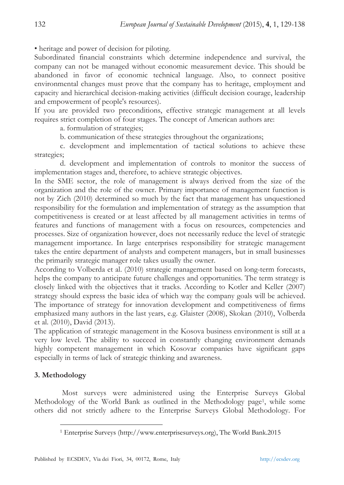• heritage and power of decision for piloting.

Subordinated financial constraints which determine independence and survival, the company can not be managed without economic measurement device. This should be abandoned in favor of economic technical language. Also, to connect positive environmental changes must prove that the company has to heritage, employment and capacity and hierarchical decision-making activities (difficult decision courage, leadership and empowerment of people's resources).

If you are provided two preconditions, effective strategic management at all levels requires strict completion of four stages. The concept of American authors are:

a. formulation of strategies;

b. communication of these strategies throughout the organizations;

 c. development and implementation of tactical solutions to achieve these strategies;

 d. development and implementation of controls to monitor the success of implementation stages and, therefore, to achieve strategic objectives.

In the SME sector, the role of management is always derived from the size of the organization and the role of the owner. Primary importance of management function is not by Zich (2010) determined so much by the fact that management has unquestioned responsibility for the formulation and implementation of strategy as the assumption that competitiveness is created or at least affected by all management activities in terms of features and functions of management with a focus on resources, competencies and processes. Size of organization however, does not necessarily reduce the level of strategic management importance. In large enterprises responsibility for strategic management takes the entire department of analysts and competent managers, but in small businesses the primarily strategic manager role takes usually the owner.

According to Volberda et al. (2010) strategic management based on long-term forecasts, helps the company to anticipate future challenges and opportunities. The term strategy is closely linked with the objectives that it tracks. According to Kotler and Keller (2007) strategy should express the basic idea of which way the company goals will be achieved. The importance of strategy for innovation development and competitiveness of firms emphasized many authors in the last years, e.g. Glaister (2008), Skokan (2010), Volberda et al. (2010), David (2013).

The application of strategic management in the Kosova business environment is still at a very low level. The ability to succeed in constantly changing environment demands highly competent management in which Kosovar companies have significant gaps especially in terms of lack of strategic thinking and awareness.

### **3. Methodology**

 $\overline{a}$ 

 Most surveys were administered using the Enterprise Surveys Global Methodology of the World Bank as outlined in the Methodology page1, while some others did not strictly adhere to the Enterprise Surveys Global Methodology. For

<sup>1</sup> Enterprise Surveys (http://www.enterprisesurveys.org), The World Bank.2015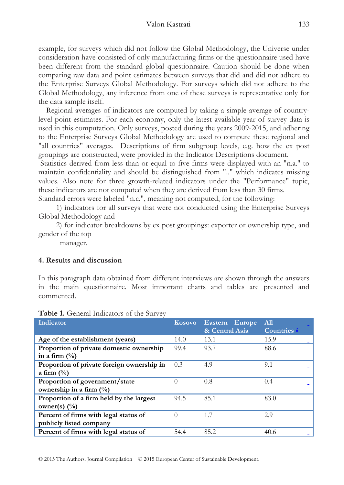example, for surveys which did not follow the Global Methodology, the Universe under consideration have consisted of only manufacturing firms or the questionnaire used have been different from the standard global questionnaire. Caution should be done when comparing raw data and point estimates between surveys that did and did not adhere to the Enterprise Surveys Global Methodology. For surveys which did not adhere to the Global Methodology, any inference from one of these surveys is representative only for the data sample itself.

 Regional averages of indicators are computed by taking a simple average of countrylevel point estimates. For each economy, only the latest available year of survey data is used in this computation. Only surveys, posted during the years 2009-2015, and adhering to the Enterprise Surveys Global Methodology are used to compute these regional and "all countries" averages. Descriptions of firm subgroup levels, e.g. how the ex post groupings are constructed, were provided in the Indicator Descriptions document.

 Statistics derived from less than or equal to five firms were displayed with an "n.a." to maintain confidentiality and should be distinguished from ".." which indicates missing values. Also note for three growth-related indicators under the "Performance" topic, these indicators are not computed when they are derived from less than 30 firms.

Standard errors were labeled "n.c.", meaning not computed, for the following:

 1) indicators for all surveys that were not conducted using the Enterprise Surveys Global Methodology and

 2) for indicator breakdowns by ex post groupings: exporter or ownership type, and gender of the top

manager.

### **4. Results and discussion**

In this paragraph data obtained from different interviews are shown through the answers in the main questionnaire. Most important charts and tables are presented and commented.

| Indicator                                  | <b>Kosovo</b> | <b>Eastern</b><br>Europe | All                |
|--------------------------------------------|---------------|--------------------------|--------------------|
|                                            |               | & Central Asia           | <b>Countries 2</b> |
| Age of the establishment (years)           | 14.0          | 13.1                     | 15.9               |
| Proportion of private domestic ownership   | 99.4          | 93.7                     | 88.6               |
| in a firm $\left(\frac{0}{0}\right)$       |               |                          |                    |
| Proportion of private foreign ownership in | 0.3           | 4.9                      | 9.1                |
| a firm $\left(\frac{0}{0}\right)$          |               |                          |                    |
| Proportion of government/state             |               | 0.8                      | 0.4                |
| ownership in a firm $(\%)$                 |               |                          |                    |
| Proportion of a firm held by the largest   | 94.5          | 85.1                     | 83.0               |
| owner(s) $(\%)$                            |               |                          |                    |
| Percent of firms with legal status of      |               | 1.7                      | 2.9                |
| publicly listed company                    |               |                          |                    |
| Percent of firms with legal status of      | 54.4          | 85.2                     | 40.6               |

#### **Table 1.** General Indicators of the Survey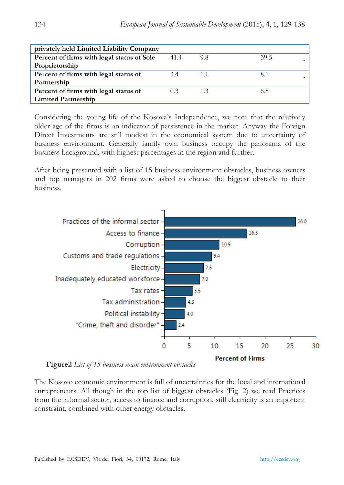| privately held Limited Liability Company   |      |     |      |
|--------------------------------------------|------|-----|------|
| Percent of firms with legal status of Sole | 41.4 | 9.8 | 39.5 |
| Proprietorship                             |      |     |      |
| Percent of firms with legal status of      | 3.4  | 1.1 | 8.1  |
| Partnership                                |      |     |      |
| Percent of firms with legal status of      | 0.3  | 1.3 | 6.5  |
| <b>Limited Partnership</b>                 |      |     |      |

Considering the young life of the Kosova's Independence, we note that the relatively older age of the firms is an indicator of persistence in the market. Anyway the Foreign Direct Investments are still modest in the economical system due to uncertainty of business environment. Generally family own business occupy the panorama of the business background, with highest percentages in the region and further.

After being presented with a list of 15 business environment obstacles, business owners and top managers in 202 firms were asked to choose the biggest obstacle to their business.



 **Figure2** *List of 15 business main environment obstacles* 

The Kosovo economic environment is full of uncertainties for the local and international entrepreneurs. All though in the top list of biggest obstacles (Fig. 2) we read Practices from the informal sector, access to finance and corruption, still electricity is an important constraint, combined with other energy obstacles.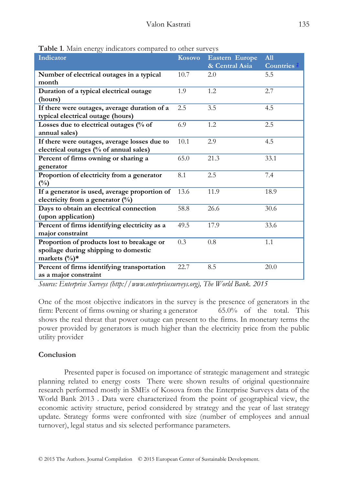| <b>Table 1.</b> Infant energy indicators compared to other surveys |        |                       |                        |
|--------------------------------------------------------------------|--------|-----------------------|------------------------|
| Indicator                                                          | Kosovo | <b>Eastern Europe</b> | A11                    |
|                                                                    |        | & Central Asia        | Countries <sup>2</sup> |
| Number of electrical outages in a typical                          | 10.7   | 2.0                   | 5.5                    |
| month                                                              |        |                       |                        |
| Duration of a typical electrical outage                            | 1.9    | 1.2                   | 2.7                    |
| (hours)                                                            |        |                       |                        |
| If there were outages, average duration of a                       | 2.5    | 3.5                   | 4.5                    |
| typical electrical outage (hours)                                  |        |                       |                        |
| Losses due to electrical outages (% of                             | 6.9    | 1.2                   | 2.5                    |
| annual sales)                                                      |        |                       |                        |
| If there were outages, average losses due to                       | 10.1   | 2.9                   | 4.5                    |
| electrical outages (% of annual sales)                             |        |                       |                        |
| Percent of firms owning or sharing a                               | 65.0   | 21.3                  | 33.1                   |
| generator                                                          |        |                       |                        |
| Proportion of electricity from a generator                         | 8.1    | 2.5                   | 7.4                    |
| $(\%)$                                                             |        |                       |                        |
| If a generator is used, average proportion of                      | 13.6   | 11.9                  | 18.9                   |
| electricity from a generator $(\%)$                                |        |                       |                        |
| Days to obtain an electrical connection                            | 58.8   | 26.6                  | 30.6                   |
| (upon application)                                                 |        |                       |                        |
| Percent of firms identifying electricity as a                      | 49.5   | 17.9                  | 33.6                   |
| major constraint                                                   |        |                       |                        |
| Proportion of products lost to breakage or                         | 0.3    | 0.8                   | 1.1                    |
| spoilage during shipping to domestic                               |        |                       |                        |
| markets $(\%)^*$                                                   |        |                       |                        |
| Percent of firms identifying transportation                        | 22.7   | 8.5                   | 20.0                   |
| as a major constraint                                              |        |                       |                        |

**Table 1**. Main energy indicators compared to other surveys

*Source: Enterprise Surveys (http://www.enterprisesurveys.org), The World Bank. 2015* 

One of the most objective indicators in the survey is the presence of generators in the firm: Percent of firms owning or sharing a generator 65.0% of the total. This shows the real threat that power outage can present to the firms. In monetary terms the power provided by generators is much higher than the electricity price from the public utility provider

# **Conclusion**

Presented paper is focused on importance of strategic management and strategic planning related to energy costs There were shown results of original questionnaire research performed mostly in SMEs of Kosova from the Enterprise Surveys data of the World Bank 2013 . Data were characterized from the point of geographical view, the economic activity structure, period considered by strategy and the year of last strategy update. Strategy forms were confronted with size (number of employees and annual turnover), legal status and six selected performance parameters.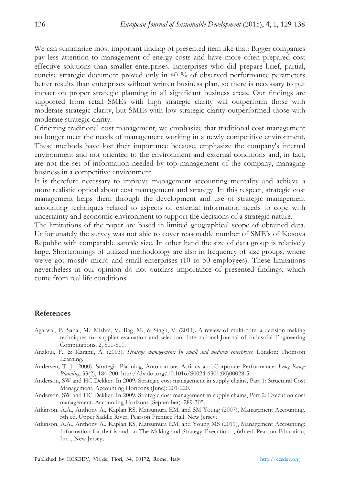We can summarize most important finding of presented item like that: Bigger companies pay less attention to management of energy costs and have more often prepared cost effective solutions than smaller enterprises. Enterprises who did prepare brief, partial, concise strategic document proved only in 40 % of observed performance parameters better results than enterprises without written business plan, so there is necessary to put impact on proper strategic planning in all significant business areas. Our findings are supported from retail SMEs with high strategic clarity will outperform those with moderate strategic clarity, but SMEs with low strategic clarity outperformed those with moderate strategic clarity.

Criticizing traditional cost management, we emphasize that traditional cost management no longer meet the needs of management working in a newly competitive environment. These methods have lost their importance because, emphasize the company's internal environment and not oriented to the environment and external conditions and, in fact, are not the set of information needed by top management of the company, managing business in a competitive environment.

It is therefore necessary to improve management accounting mentality and achieve a more realistic optical about cost management and strategy. In this respect, strategic cost management helps them through the development and use of strategic management accounting techniques related to aspects of external information needs to cope with uncertainty and economic environment to support the decisions of a strategic nature.

The limitations of the paper are based in limited geographical scope of obtained data. Unfortunately the survey was not able to cover reasonable number of SME's of Kosova Republic with comparable sample size. In other hand the size of data group is relatively large. Shortcomings of utilized methodology are also in frequency of size groups, where we've got mostly micro and small enterprises (10 to 50 employees). These limitations nevertheless in our opinion do not outclass importance of presented findings, which come from real life conditions.

#### **References**

- Agarwal, P., Sahai, M., Mishra, V., Bag, M., & Singh, V. (2011). A review of multi-criteria decision making techniques for supplier evaluation and selection. International Journal of Industrial Engineering Computations, 2, 801-810.
- Analoui, F., & Karami, A. (2003). *Strategic management: In small and medium enterprises.* London: Thomson Learning.
- Andersen, T. J. (2000). Strategic Planning, Autonomous Actions and Corporate Performance. *Long Range Planning*, 33(2), 184-200. http://dx.doi.org/10.1016/S0024-6301(00)00028-5
- Anderson, SW and HC Dekker. In 2009. Strategic cost management in supply chains, Part 1: Structural Cost Management. Accounting Horizons (June): 201-220.
- Anderson, SW and HC Dekker. In 2009. Strategic cost management in supply chains, Part 2: Execution cost management. Accounting Horizons (September): 289-305.
- Atkinson, A.A., Anthony A., Kaplan RS, Matsumura EM, and SM Young (2007), Management Accounting. 5th ed. Upper Saddle River, Pearson Prentice Hall, New Jersey;
- Atkinson, A.A., Anthony A., Kaplan RS, Matsumura EM, and Young MS (2011), Management Accounting: Information for that is and on The Making and Strategy Execution , 6th ed. Pearson Education, Inc.., New Jersey;